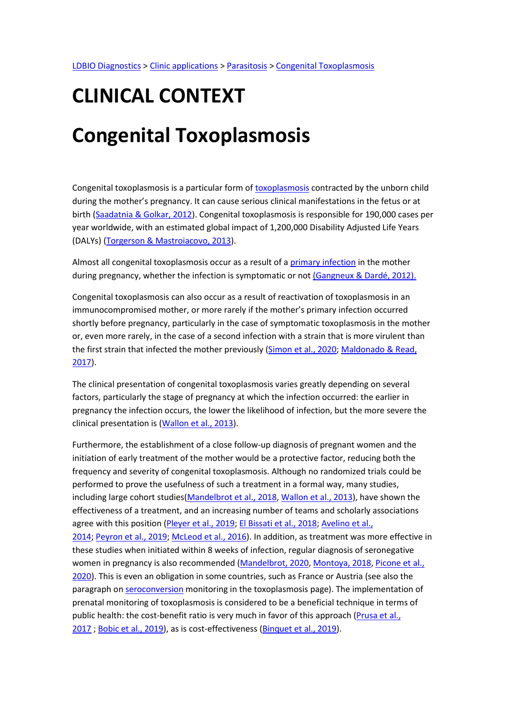# CLINICAL CONTEXT

# Congenital Toxoplasmosis

Congenital toxoplasmosis is a particular form of toxoplasmosis contracted by the unborn child during the mother's pregnancy. It can cause serious clinical manifestations in the fetus or at birth (Saadatnia & Golkar, 2012). Congenital toxoplasmosis is responsible for 190,000 cases per year worldwide, with an estimated global impact of 1,200,000 Disability Adjusted Life Years (DALYs) (Torgerson & Mastroiacovo, 2013).

Almost all congenital toxoplasmosis occur as a result of a primary infection in the mother during pregnancy, whether the infection is symptomatic or not (Gangneux & Dardé, 2012).

Congenital toxoplasmosis can also occur as a result of reactivation of toxoplasmosis in an immunocompromised mother, or more rarely if the mother's primary infection occurred shortly before pregnancy, particularly in the case of symptomatic toxoplasmosis in the mother or, even more rarely, in the case of a second infection with a strain that is more virulent than the first strain that infected the mother previously (Simon et al., 2020; Maldonado & Read, 2017).

The clinical presentation of congenital toxoplasmosis varies greatly depending on several factors, particularly the stage of pregnancy at which the infection occurred: the earlier in pregnancy the infection occurs, the lower the likelihood of infection, but the more severe the clinical presentation is (Wallon et al., 2013).

Furthermore, the establishment of a close follow-up diagnosis of pregnant women and the initiation of early treatment of the mother would be a protective factor, reducing both the frequency and severity of congenital toxoplasmosis. Although no randomized trials could be performed to prove the usefulness of such a treatment in a formal way, many studies, including large cohort studies(Mandelbrot et al., 2018, Wallon et al., 2013), have shown the effectiveness of a treatment, and an increasing number of teams and scholarly associations agree with this position (Pleyer et al., 2019; El Bissati et al., 2018; Avelino et al., 2014; Peyron et al., 2019; McLeod et al., 2016). In addition, as treatment was more effective in these studies when initiated within 8 weeks of infection, regular diagnosis of seronegative women in pregnancy is also recommended (Mandelbrot, 2020, Montoya, 2018, Picone et al., 2020). This is even an obligation in some countries, such as France or Austria (see also the paragraph on seroconversion monitoring in the toxoplasmosis page). The implementation of prenatal monitoring of toxoplasmosis is considered to be a beneficial technique in terms of public health: the cost-benefit ratio is very much in favor of this approach (Prusa et al., 2017 ; Bobic et al., 2019), as is cost-effectiveness (Binquet et al., 2019).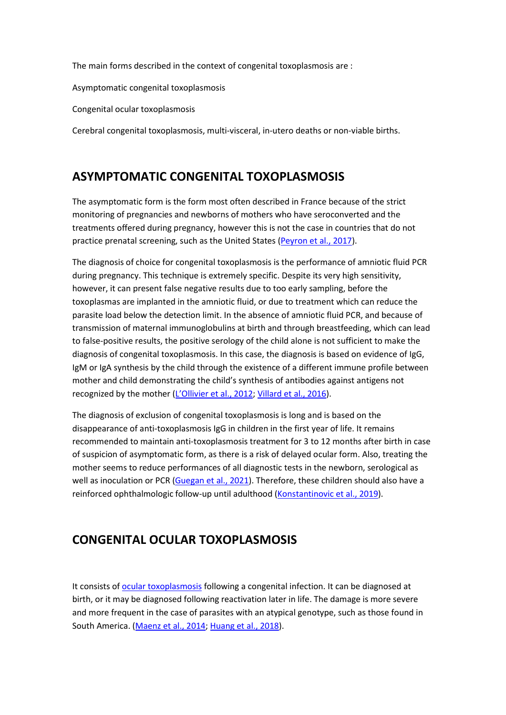The main forms described in the context of congenital toxoplasmosis are :

Asymptomatic congenital toxoplasmosis

Congenital ocular toxoplasmosis

Cerebral congenital toxoplasmosis, multi-visceral, in-utero deaths or non-viable births.

### ASYMPTOMATIC CONGENITAL TOXOPLASMOSIS

The asymptomatic form is the form most often described in France because of the strict monitoring of pregnancies and newborns of mothers who have seroconverted and the treatments offered during pregnancy, however this is not the case in countries that do not practice prenatal screening, such as the United States (Peyron et al., 2017).

The diagnosis of choice for congenital toxoplasmosis is the performance of amniotic fluid PCR during pregnancy. This technique is extremely specific. Despite its very high sensitivity, however, it can present false negative results due to too early sampling, before the toxoplasmas are implanted in the amniotic fluid, or due to treatment which can reduce the parasite load below the detection limit. In the absence of amniotic fluid PCR, and because of transmission of maternal immunoglobulins at birth and through breastfeeding, which can lead to false-positive results, the positive serology of the child alone is not sufficient to make the diagnosis of congenital toxoplasmosis. In this case, the diagnosis is based on evidence of IgG, IgM or IgA synthesis by the child through the existence of a different immune profile between mother and child demonstrating the child's synthesis of antibodies against antigens not recognized by the mother (L'Ollivier et al., 2012; Villard et al., 2016).

The diagnosis of exclusion of congenital toxoplasmosis is long and is based on the disappearance of anti-toxoplasmosis IgG in children in the first year of life. It remains recommended to maintain anti-toxoplasmosis treatment for 3 to 12 months after birth in case of suspicion of asymptomatic form, as there is a risk of delayed ocular form. Also, treating the mother seems to reduce performances of all diagnostic tests in the newborn, serological as well as inoculation or PCR (Guegan et al., 2021). Therefore, these children should also have a reinforced ophthalmologic follow-up until adulthood (Konstantinovic et al., 2019).

# CONGENITAL OCULAR TOXOPLASMOSIS

It consists of ocular toxoplasmosis following a congenital infection. It can be diagnosed at birth, or it may be diagnosed following reactivation later in life. The damage is more severe and more frequent in the case of parasites with an atypical genotype, such as those found in South America. (Maenz et al., 2014; Huang et al., 2018).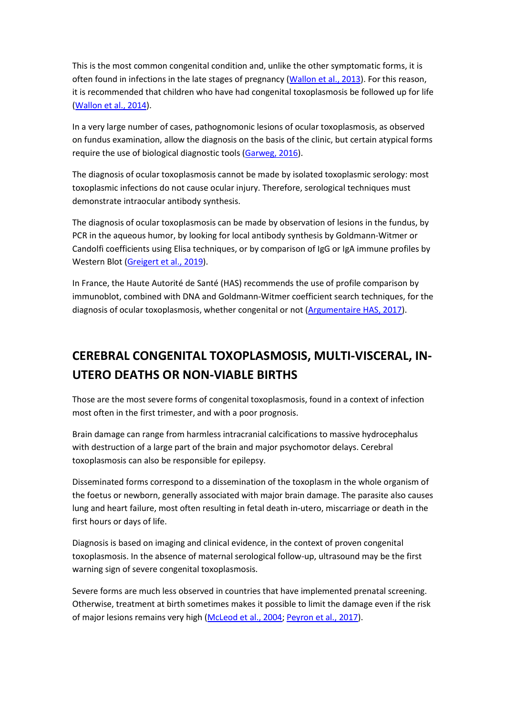This is the most common congenital condition and, unlike the other symptomatic forms, it is often found in infections in the late stages of pregnancy (Wallon et al., 2013). For this reason, it is recommended that children who have had congenital toxoplasmosis be followed up for life (Wallon et al., 2014).

In a very large number of cases, pathognomonic lesions of ocular toxoplasmosis, as observed on fundus examination, allow the diagnosis on the basis of the clinic, but certain atypical forms require the use of biological diagnostic tools (Garweg, 2016).

The diagnosis of ocular toxoplasmosis cannot be made by isolated toxoplasmic serology: most toxoplasmic infections do not cause ocular injury. Therefore, serological techniques must demonstrate intraocular antibody synthesis.

The diagnosis of ocular toxoplasmosis can be made by observation of lesions in the fundus, by PCR in the aqueous humor, by looking for local antibody synthesis by Goldmann-Witmer or Candolfi coefficients using Elisa techniques, or by comparison of IgG or IgA immune profiles by Western Blot (Greigert et al., 2019).

In France, the Haute Autorité de Santé (HAS) recommends the use of profile comparison by immunoblot, combined with DNA and Goldmann-Witmer coefficient search techniques, for the diagnosis of ocular toxoplasmosis, whether congenital or not (Argumentaire HAS, 2017).

# CEREBRAL CONGENITAL TOXOPLASMOSIS, MULTI-VISCERAL, IN-UTERO DEATHS OR NON-VIABLE BIRTHS

Those are the most severe forms of congenital toxoplasmosis, found in a context of infection most often in the first trimester, and with a poor prognosis.

Brain damage can range from harmless intracranial calcifications to massive hydrocephalus with destruction of a large part of the brain and major psychomotor delays. Cerebral toxoplasmosis can also be responsible for epilepsy.

Disseminated forms correspond to a dissemination of the toxoplasm in the whole organism of the foetus or newborn, generally associated with major brain damage. The parasite also causes lung and heart failure, most often resulting in fetal death in-utero, miscarriage or death in the first hours or days of life.

Diagnosis is based on imaging and clinical evidence, in the context of proven congenital toxoplasmosis. In the absence of maternal serological follow-up, ultrasound may be the first warning sign of severe congenital toxoplasmosis.

Severe forms are much less observed in countries that have implemented prenatal screening. Otherwise, treatment at birth sometimes makes it possible to limit the damage even if the risk of major lesions remains very high (McLeod et al., 2004; Peyron et al., 2017).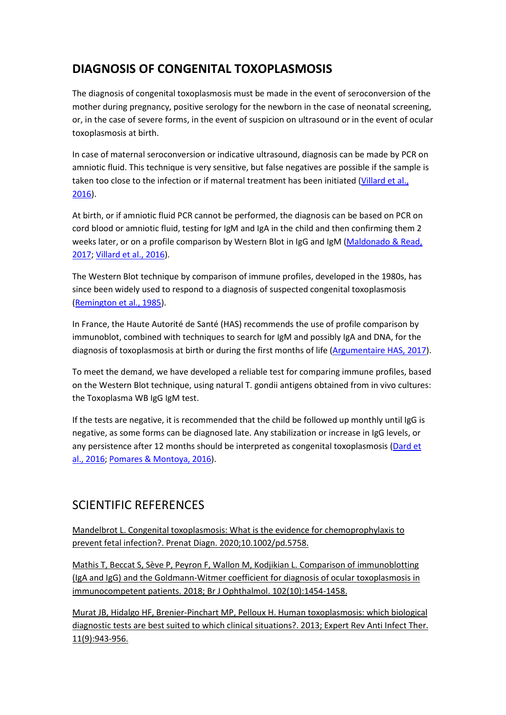# DIAGNOSIS OF CONGENITAL TOXOPLASMOSIS

The diagnosis of congenital toxoplasmosis must be made in the event of seroconversion of the mother during pregnancy, positive serology for the newborn in the case of neonatal screening, or, in the case of severe forms, in the event of suspicion on ultrasound or in the event of ocular toxoplasmosis at birth.

In case of maternal seroconversion or indicative ultrasound, diagnosis can be made by PCR on amniotic fluid. This technique is very sensitive, but false negatives are possible if the sample is taken too close to the infection or if maternal treatment has been initiated (Villard et al., 2016).

At birth, or if amniotic fluid PCR cannot be performed, the diagnosis can be based on PCR on cord blood or amniotic fluid, testing for IgM and IgA in the child and then confirming them 2 weeks later, or on a profile comparison by Western Blot in IgG and IgM (Maldonado & Read, 2017; Villard et al., 2016).

The Western Blot technique by comparison of immune profiles, developed in the 1980s, has since been widely used to respond to a diagnosis of suspected congenital toxoplasmosis (Remington et al., 1985).

In France, the Haute Autorité de Santé (HAS) recommends the use of profile comparison by immunoblot, combined with techniques to search for IgM and possibly IgA and DNA, for the diagnosis of toxoplasmosis at birth or during the first months of life (Argumentaire HAS, 2017).

To meet the demand, we have developed a reliable test for comparing immune profiles, based on the Western Blot technique, using natural T. gondii antigens obtained from in vivo cultures: the Toxoplasma WB IgG IgM test.

If the tests are negative, it is recommended that the child be followed up monthly until IgG is negative, as some forms can be diagnosed late. Any stabilization or increase in IgG levels, or any persistence after 12 months should be interpreted as congenital toxoplasmosis (Dard et al., 2016; Pomares & Montoya, 2016).

### SCIENTIFIC REFERENCES

Mandelbrot L. Congenital toxoplasmosis: What is the evidence for chemoprophylaxis to prevent fetal infection?. Prenat Diagn. 2020;10.1002/pd.5758.

Mathis T, Beccat S, Sève P, Peyron F, Wallon M, Kodjikian L. Comparison of immunoblotting (IgA and IgG) and the Goldmann-Witmer coefficient for diagnosis of ocular toxoplasmosis in immunocompetent patients. 2018; Br J Ophthalmol. 102(10):1454-1458.

Murat JB, Hidalgo HF, Brenier-Pinchart MP, Pelloux H. Human toxoplasmosis: which biological diagnostic tests are best suited to which clinical situations?. 2013; Expert Rev Anti Infect Ther. 11(9):943-956.